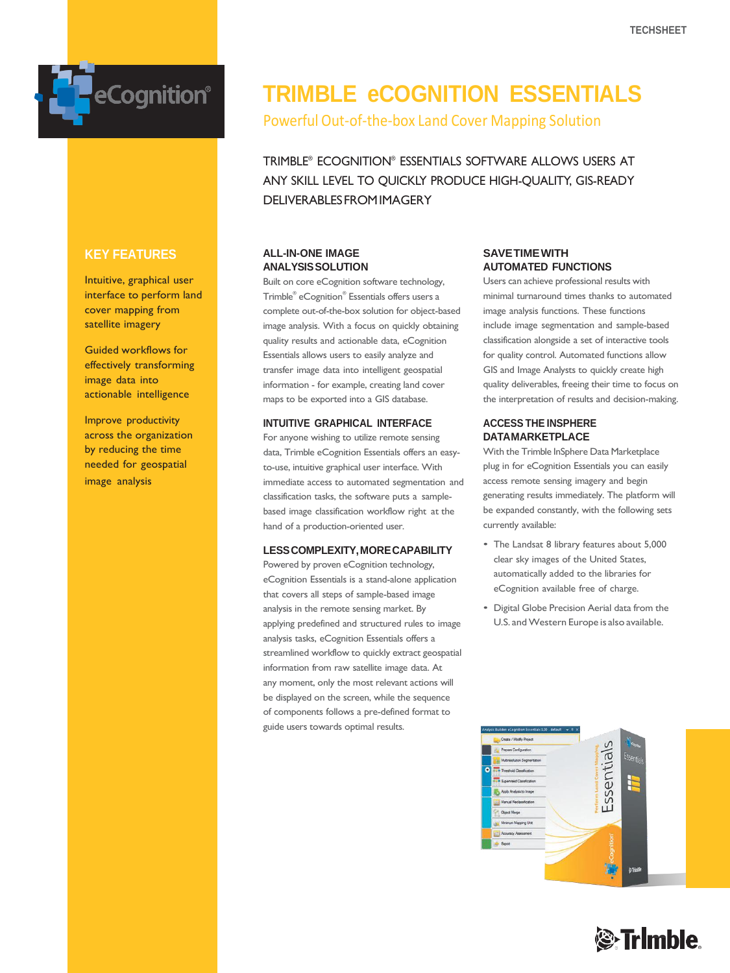

### **KEY FEATURES**

Intuitive, graphical user interface to perform land cover mapping from satellite imagery

Guided workflows for effectively transforming image data into actionable intelligence

Improve productivity across the organization by reducing the time needed for geospatial image analysis

# **TRIMBLE eCOGNITION ESSENTIALS**

Powerful Out-of-the-box Land Cover Mapping Solution

TRIMBLE® ECOGNITION® ESSENTIALS SOFTWARE ALLOWS USERS AT ANY SKILL LEVEL TO QUICKLY PRODUCE HIGH-QUALITY, GIS-READY DELIVERABLESFROMIMAGERY

#### **ALL-IN-ONE IMAGE ANALYSISSOLUTION**

Built on core eCognition software technology, Trimble® eCognition® Essentials offers users a complete out-of-the-box solution for object-based image analysis. With a focus on quickly obtaining quality results and actionable data, eCognition Essentials allows users to easily analyze and transfer image data into intelligent geospatial information - for example, creating land cover maps to be exported into a GIS database.

#### **INTUITIVE GRAPHICAL INTERFACE**

For anyone wishing to utilize remote sensing data, Trimble eCognition Essentials offers an easyto-use, intuitive graphical user interface. With immediate access to automated segmentation and classification tasks, the software puts a samplebased image classification workflow right at the hand of a production-oriented user.

#### **LESSCOMPLEXITY,MORECAPABILITY**

Powered by proven eCognition technology, eCognition Essentials is a stand-alone application that covers all steps of sample-based image analysis in the remote sensing market. By applying predefined and structured rules to image analysis tasks, eCognition Essentials offers a streamlined workflow to quickly extract geospatial information from raw satellite image data. At any moment, only the most relevant actions will be displayed on the screen, while the sequence of components follows a pre-defined format to guide users towards optimal results.

#### **SAVETIMEWITH AUTOMATED FUNCTIONS**

Users can achieve professional results with minimal turnaround times thanks to automated image analysis functions. These functions include image segmentation and sample-based classification alongside a set of interactive tools for quality control. Automated functions allow GIS and Image Analysts to quickly create high quality deliverables, freeing their time to focus on the interpretation of results and decision-making.

#### **ACCESS THE INSPHERE DATAMARKETPLACE**

With the Trimble InSphere Data Marketplace plug in for eCognition Essentials you can easily access remote sensing imagery and begin generating results immediately. The platform will be expanded constantly, with the following sets currently available:

- The Landsat 8 library features about 5,000 clear sky images of the United States, automatically added to the libraries for eCognition available free of charge.
- Digital Globe Precision Aerial data from the U.S. and Western Europe is also available.



# **S**Trimble